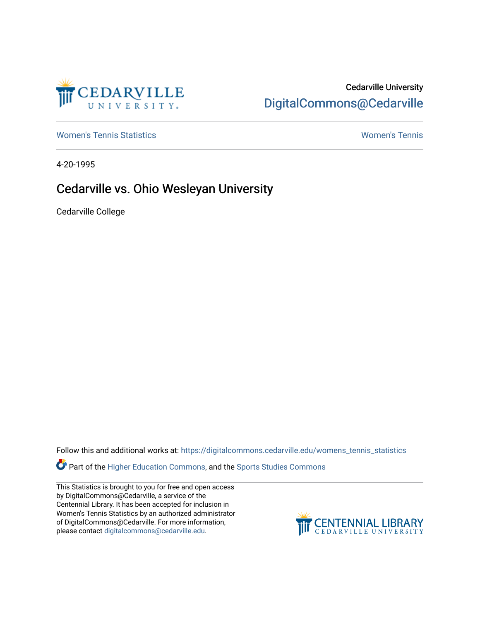

## Cedarville University [DigitalCommons@Cedarville](https://digitalcommons.cedarville.edu/)

[Women's Tennis Statistics](https://digitalcommons.cedarville.edu/womens_tennis_statistics) [Women's Tennis](https://digitalcommons.cedarville.edu/womens_tennis) 

4-20-1995

## Cedarville vs. Ohio Wesleyan University

Cedarville College

Follow this and additional works at: [https://digitalcommons.cedarville.edu/womens\\_tennis\\_statistics](https://digitalcommons.cedarville.edu/womens_tennis_statistics?utm_source=digitalcommons.cedarville.edu%2Fwomens_tennis_statistics%2F190&utm_medium=PDF&utm_campaign=PDFCoverPages) 

**Part of the [Higher Education Commons,](http://network.bepress.com/hgg/discipline/1245?utm_source=digitalcommons.cedarville.edu%2Fwomens_tennis_statistics%2F190&utm_medium=PDF&utm_campaign=PDFCoverPages) and the Sports Studies Commons** 

This Statistics is brought to you for free and open access by DigitalCommons@Cedarville, a service of the Centennial Library. It has been accepted for inclusion in Women's Tennis Statistics by an authorized administrator of DigitalCommons@Cedarville. For more information, please contact [digitalcommons@cedarville.edu](mailto:digitalcommons@cedarville.edu).